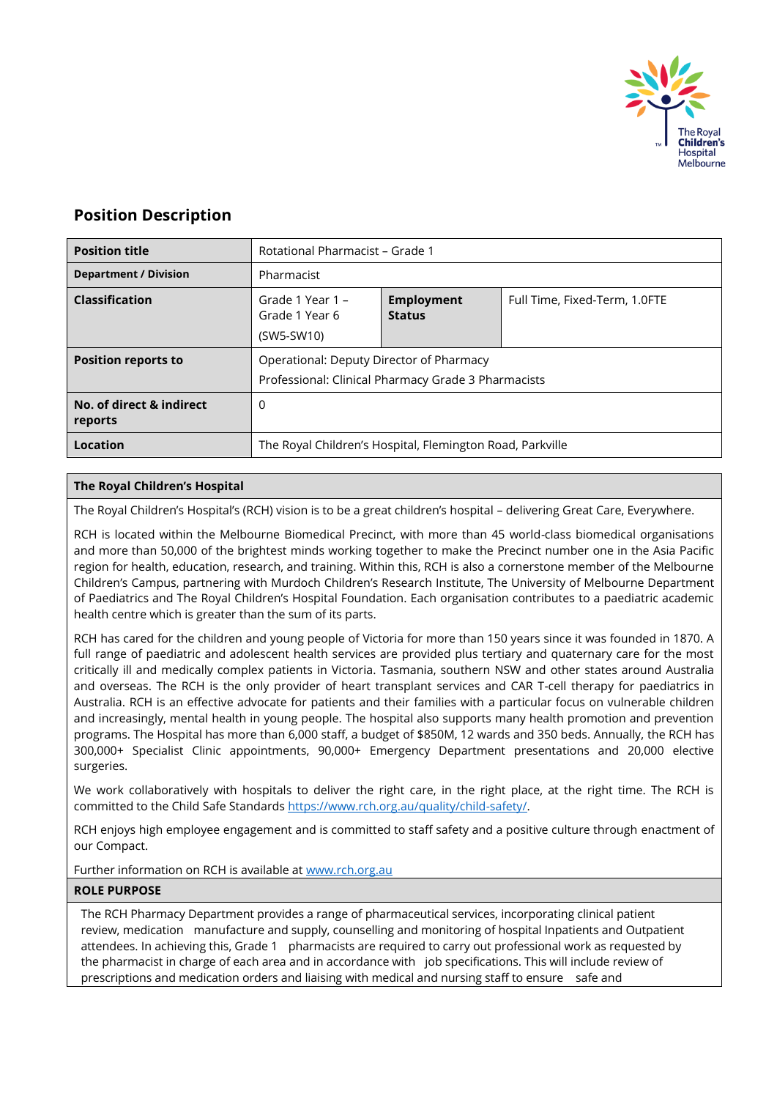

# **Position Description**

| <b>Position title</b>               | Rotational Pharmacist - Grade 1                                                                 |                                    |                               |
|-------------------------------------|-------------------------------------------------------------------------------------------------|------------------------------------|-------------------------------|
| <b>Department / Division</b>        | Pharmacist                                                                                      |                                    |                               |
| <b>Classification</b>               | Grade 1 Year 1 –<br>Grade 1 Year 6<br>(SW5-SW10)                                                | <b>Employment</b><br><b>Status</b> | Full Time, Fixed-Term, 1.0FTE |
| <b>Position reports to</b>          | Operational: Deputy Director of Pharmacy<br>Professional: Clinical Pharmacy Grade 3 Pharmacists |                                    |                               |
| No. of direct & indirect<br>reports | 0                                                                                               |                                    |                               |
| Location                            | The Royal Children's Hospital, Flemington Road, Parkville                                       |                                    |                               |

# **The Royal Children's Hospital**

The Royal Children's Hospital's (RCH) vision is to be a great children's hospital – delivering Great Care, Everywhere.

RCH is located within the Melbourne Biomedical Precinct, with more than 45 world-class biomedical organisations and more than 50,000 of the brightest minds working together to make the Precinct number one in the Asia Pacific region for health, education, research, and training. Within this, RCH is also a cornerstone member of the Melbourne Children's Campus, partnering with Murdoch Children's Research Institute, The University of Melbourne Department of Paediatrics and The Royal Children's Hospital Foundation. Each organisation contributes to a paediatric academic health centre which is greater than the sum of its parts.

RCH has cared for the children and young people of Victoria for more than 150 years since it was founded in 1870. A full range of paediatric and adolescent health services are provided plus tertiary and quaternary care for the most critically ill and medically complex patients in Victoria. Tasmania, southern NSW and other states around Australia and overseas. The RCH is the only provider of heart transplant services and CAR T-cell therapy for paediatrics in Australia. RCH is an effective advocate for patients and their families with a particular focus on vulnerable children and increasingly, mental health in young people. The hospital also supports many health promotion and prevention programs. The Hospital has more than 6,000 staff, a budget of \$850M, 12 wards and 350 beds. Annually, the RCH has 300,000+ Specialist Clinic appointments, 90,000+ Emergency Department presentations and 20,000 elective surgeries.

We work collaboratively with hospitals to deliver the right care, in the right place, at the right time. The RCH is committed to the Child Safe Standards [https://www.rch.org.au/quality/child-safety/.](https://www.rch.org.au/quality/child-safety/)

RCH enjoys high employee engagement and is committed to staff safety and a positive culture through enactment of our Compact.

Further information on RCH is available a[t www.rch.org.au](http://www.rch.org.au/)

#### **ROLE PURPOSE**

The RCH Pharmacy Department provides a range of pharmaceutical services, incorporating clinical patient review, medication manufacture and supply, counselling and monitoring of hospital Inpatients and Outpatient attendees. In achieving this, Grade 1 pharmacists are required to carry out professional work as requested by the pharmacist in charge of each area and in accordance with job specifications. This will include review of prescriptions and medication orders and liaising with medical and nursing staff to ensure safe and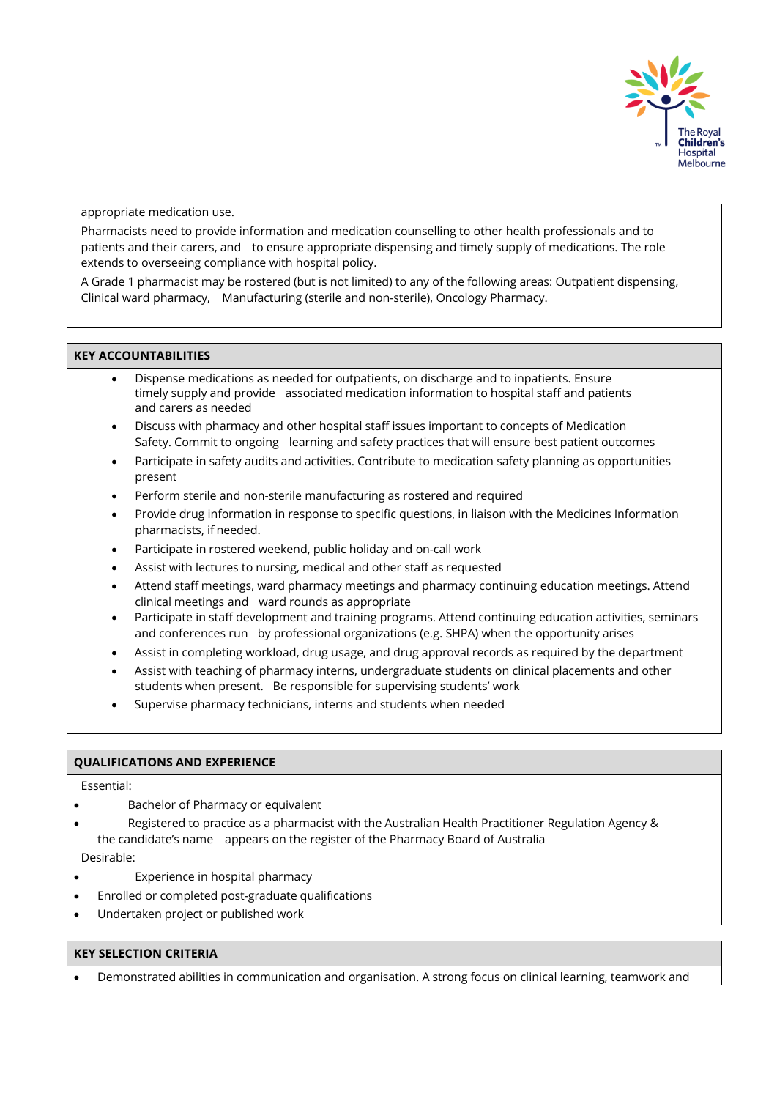

appropriate medication use.

Pharmacists need to provide information and medication counselling to other health professionals and to patients and their carers, and to ensure appropriate dispensing and timely supply of medications. The role extends to overseeing compliance with hospital policy.

A Grade 1 pharmacist may be rostered (but is not limited) to any of the following areas: Outpatient dispensing, Clinical ward pharmacy, Manufacturing (sterile and non-sterile), Oncology Pharmacy.

# **KEY ACCOUNTABILITIES**

- Dispense medications as needed for outpatients, on discharge and to inpatients. Ensure timely supply and provide associated medication information to hospital staff and patients and carers as needed
- Discuss with pharmacy and other hospital staff issues important to concepts of Medication Safety. Commit to ongoing learning and safety practices that will ensure best patient outcomes
- Participate in safety audits and activities. Contribute to medication safety planning as opportunities present
- Perform sterile and non-sterile manufacturing as rostered and required
- Provide drug information in response to specific questions, in liaison with the Medicines Information pharmacists, if needed.
- Participate in rostered weekend, public holiday and on-call work
- Assist with lectures to nursing, medical and other staff as requested
- Attend staff meetings, ward pharmacy meetings and pharmacy continuing education meetings. Attend clinical meetings and ward rounds as appropriate
- Participate in staff development and training programs. Attend continuing education activities, seminars and conferences run by professional organizations (e.g. SHPA) when the opportunity arises
- Assist in completing workload, drug usage, and drug approval records as required by the department
- Assist with teaching of pharmacy interns, undergraduate students on clinical placements and other students when present. Be responsible for supervising students' work
- Supervise pharmacy technicians, interns and students when needed

### **QUALIFICATIONS AND EXPERIENCE**

Essential:

- Bachelor of Pharmacy or equivalent
- Registered to practice as a pharmacist with the Australian Health Practitioner Regulation Agency & the candidate's name appears on the register of the Pharmacy Board of Australia Desirable:
- Experience in hospital pharmacy
- Enrolled or completed post-graduate qualifications
- Undertaken project or published work

# **KEY SELECTION CRITERIA**

• Demonstrated abilities in communication and organisation. A strong focus on clinical learning, teamwork and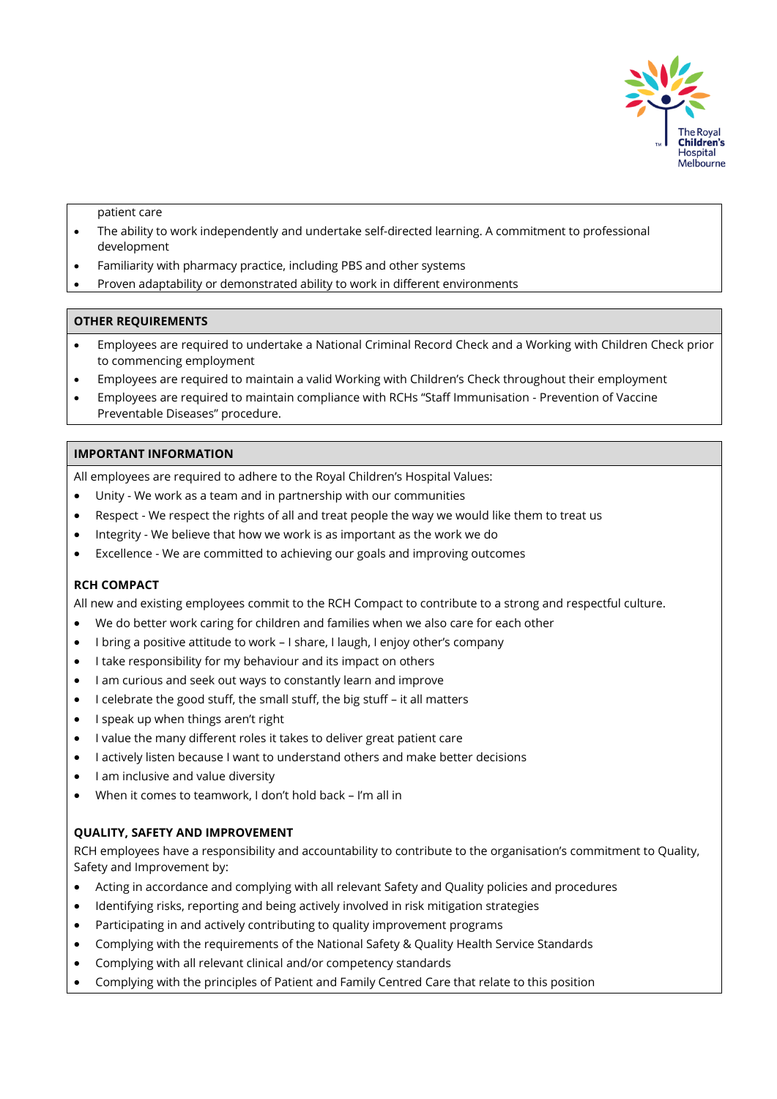

patient care

- The ability to work independently and undertake self-directed learning. A commitment to professional development
- Familiarity with pharmacy practice, including PBS and other systems
- Proven adaptability or demonstrated ability to work in different environments

#### **OTHER REQUIREMENTS**

- Employees are required to undertake a National Criminal Record Check and a Working with Children Check prior to commencing employment
- Employees are required to maintain a valid Working with Children's Check throughout their employment
- Employees are required to maintain compliance with RCHs "Staff Immunisation Prevention of Vaccine Preventable Diseases" procedure.

### **IMPORTANT INFORMATION**

All employees are required to adhere to the Royal Children's Hospital Values:

- Unity We work as a team and in partnership with our communities
- Respect We respect the rights of all and treat people the way we would like them to treat us
- Integrity We believe that how we work is as important as the work we do
- Excellence We are committed to achieving our goals and improving outcomes

# **RCH COMPACT**

All new and existing employees commit to the RCH Compact to contribute to a strong and respectful culture.

- We do better work caring for children and families when we also care for each other
- I bring a positive attitude to work I share, I laugh, I enjoy other's company
- I take responsibility for my behaviour and its impact on others
- I am curious and seek out ways to constantly learn and improve
- I celebrate the good stuff, the small stuff, the big stuff it all matters
- I speak up when things aren't right
- I value the many different roles it takes to deliver great patient care
- I actively listen because I want to understand others and make better decisions
- I am inclusive and value diversity
- When it comes to teamwork, I don't hold back I'm all in

#### **QUALITY, SAFETY AND IMPROVEMENT**

RCH employees have a responsibility and accountability to contribute to the organisation's commitment to Quality, Safety and Improvement by:

- Acting in accordance and complying with all relevant Safety and Quality policies and procedures
- Identifying risks, reporting and being actively involved in risk mitigation strategies
- Participating in and actively contributing to quality improvement programs
- Complying with the requirements of the National Safety & Quality Health Service Standards
- Complying with all relevant clinical and/or competency standards
- Complying with the principles of Patient and Family Centred Care that relate to this position